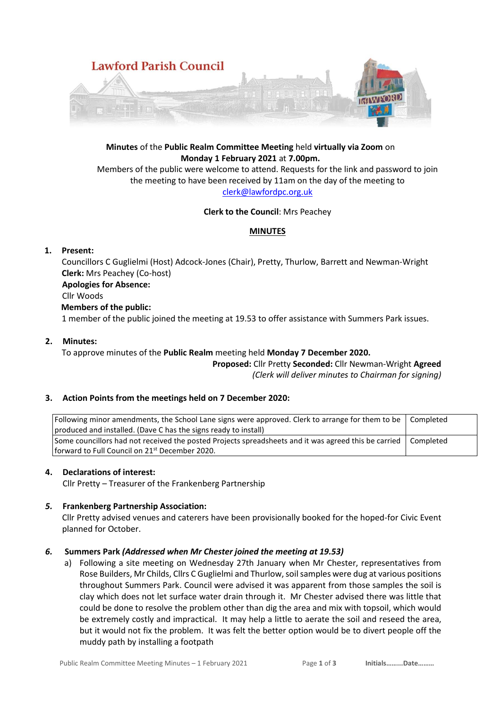

**Minutes** of the **Public Realm Committee Meeting** held **virtually via Zoom** on **Monday 1 February 2021** at **7.00pm.**

Members of the public were welcome to attend. Requests for the link and password to join the meeting to have been received by 11am on the day of the meeting to [clerk@lawfordpc.org.uk](mailto:clerk@lawfordpc.org.uk)

### **Clerk to the Council**: Mrs Peachey

## **MINUTES**

### **1. Present:**

Councillors C Guglielmi (Host) Adcock-Jones (Chair), Pretty, Thurlow, Barrett and Newman-Wright **Clerk:** Mrs Peachey (Co-host)

#### **Apologies for Absence:**

Cllr Woods

#### **Members of the public:**

1 member of the public joined the meeting at 19.53 to offer assistance with Summers Park issues.

#### **2. Minutes:**

To approve minutes of the **Public Realm** meeting held **Monday 7 December 2020.**

**Proposed:** Cllr Pretty **Seconded:** Cllr Newman-Wright **Agreed** *(Clerk will deliver minutes to Chairman for signing)*

#### **3. Action Points from the meetings held on 7 December 2020:**

| Following minor amendments, the School Lane signs were approved. Clerk to arrange for them to be   Completed     |  |
|------------------------------------------------------------------------------------------------------------------|--|
| (produced and installed. (Dave C has the signs ready to install)                                                 |  |
| Some councillors had not received the posted Projects spreadsheets and it was agreed this be carried   Completed |  |
| l forward to Full Council on 21 <sup>st</sup> December 2020.                                                     |  |

#### **4. Declarations of interest:**

Cllr Pretty – Treasurer of the Frankenberg Partnership

#### *5.* **Frankenberg Partnership Association:**

Cllr Pretty advised venues and caterers have been provisionally booked for the hoped-for Civic Event planned for October.

#### *6.* **Summers Park** *(Addressed when Mr Chester joined the meeting at 19.53)*

a) Following a site meeting on Wednesday 27th January when Mr Chester, representatives from Rose Builders, Mr Childs, Cllrs C Guglielmi and Thurlow, soil samples were dug at various positions throughout Summers Park. Council were advised it was apparent from those samples the soil is clay which does not let surface water drain through it. Mr Chester advised there was little that could be done to resolve the problem other than dig the area and mix with topsoil, which would be extremely costly and impractical. It may help a little to aerate the soil and reseed the area, but it would not fix the problem. It was felt the better option would be to divert people off the muddy path by installing a footpath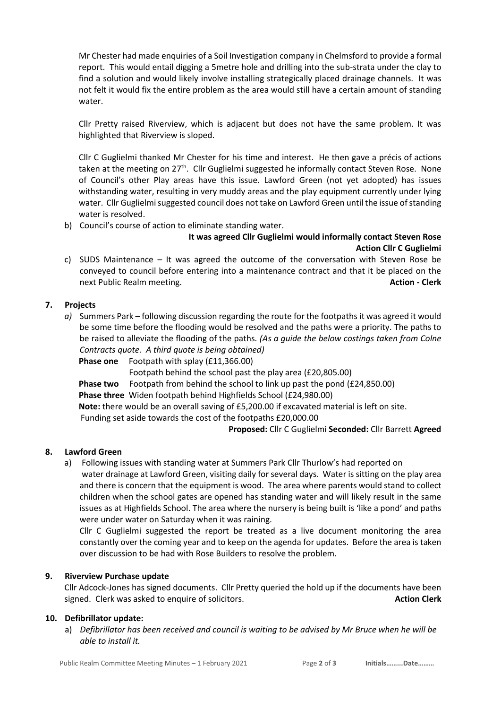Mr Chester had made enquiries of a Soil Investigation company in Chelmsford to provide a formal report. This would entail digging a 5metre hole and drilling into the sub-strata under the clay to find a solution and would likely involve installing strategically placed drainage channels. It was not felt it would fix the entire problem as the area would still have a certain amount of standing water.

Cllr Pretty raised Riverview, which is adjacent but does not have the same problem. It was highlighted that Riverview is sloped.

Cllr C Guglielmi thanked Mr Chester for his time and interest. He then gave a précis of actions taken at the meeting on 27<sup>th</sup>. Cllr Guglielmi suggested he informally contact Steven Rose. None of Council's other Play areas have this issue. Lawford Green (not yet adopted) has issues withstanding water, resulting in very muddy areas and the play equipment currently under lying water. Cllr Guglielmi suggested council does not take on Lawford Green until the issue of standing water is resolved.

b) Council's course of action to eliminate standing water.

# **It was agreed Cllr Guglielmi would informally contact Steven Rose Action Cllr C Guglielmi**

c) SUDS Maintenance – It was agreed the outcome of the conversation with Steven Rose be conveyed to council before entering into a maintenance contract and that it be placed on the next Public Realm meeting. **Action - Clerk**

## **7. Projects**

- *a)* Summers Park following discussion regarding the route for the footpaths it was agreed it would be some time before the flooding would be resolved and the paths were a priority. The paths to be raised to alleviate the flooding of the paths*. (As a guide the below costings taken from Colne Contracts quote. A third quote is being obtained)*
	- **Phase one** Footpath with splay (£11,366.00)

Footpath behind the school past the play area (£20,805.00)

**Phase two** Footpath from behind the school to link up past the pond (£24,850.00)

**Phase three** Widen footpath behind Highfields School (£24,980.00)

**Note:** there would be an overall saving of £5,200.00 if excavated material is left on site. Funding set aside towards the cost of the footpaths £20,000.00

**Proposed:** Cllr C Guglielmi **Seconded:** Cllr Barrett **Agreed**

## **8. Lawford Green**

a) Following issues with standing water at Summers Park Cllr Thurlow's had reported on water drainage at Lawford Green, visiting daily for several days. Water is sitting on the play area and there is concern that the equipment is wood. The area where parents would stand to collect children when the school gates are opened has standing water and will likely result in the same issues as at Highfields School. The area where the nursery is being built is 'like a pond' and paths were under water on Saturday when it was raining.

Cllr C Guglielmi suggested the report be treated as a live document monitoring the area constantly over the coming year and to keep on the agenda for updates. Before the area is taken over discussion to be had with Rose Builders to resolve the problem.

#### **9. Riverview Purchase update**

Cllr Adcock-Jones has signed documents. Cllr Pretty queried the hold up if the documents have been signed. Clerk was asked to enquire of solicitors. **Action Clerk Action Clerk Action Clerk** 

#### **10. Defibrillator update:**

a) *Defibrillator has been received and council is waiting to be advised by Mr Bruce when he will be able to install it.*